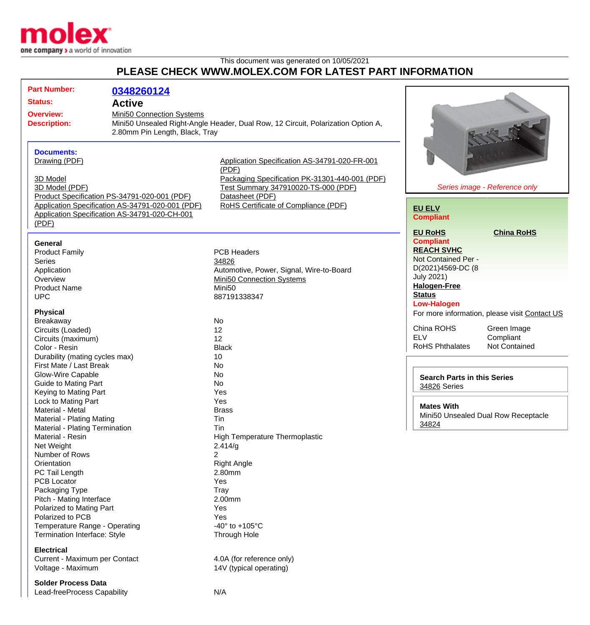

## This document was generated on 10/05/2021 **PLEASE CHECK WWW.MOLEX.COM FOR LATEST PART INFORMATION**

| <b>Part Number:</b>                          | 0348260124                                       |                                                                                  |                                               |
|----------------------------------------------|--------------------------------------------------|----------------------------------------------------------------------------------|-----------------------------------------------|
| <b>Status:</b>                               | <b>Active</b>                                    |                                                                                  |                                               |
|                                              |                                                  |                                                                                  |                                               |
| <b>Overview:</b>                             | Mini50 Connection Systems                        |                                                                                  |                                               |
| <b>Description:</b>                          |                                                  | Mini50 Unsealed Right-Angle Header, Dual Row, 12 Circuit, Polarization Option A, |                                               |
|                                              | 2.80mm Pin Length, Black, Tray                   |                                                                                  |                                               |
|                                              |                                                  |                                                                                  |                                               |
| <b>Documents:</b>                            |                                                  |                                                                                  |                                               |
| Drawing (PDF)                                |                                                  | Application Specification AS-34791-020-FR-001                                    |                                               |
|                                              |                                                  | (PDF)                                                                            |                                               |
| 3D Model                                     |                                                  | Packaging Specification PK-31301-440-001 (PDF)                                   |                                               |
| 3D Model (PDF)                               |                                                  | Test Summary 347910020-TS-000 (PDF)                                              | Series image - Reference only                 |
|                                              | Product Specification PS-34791-020-001 (PDF)     | Datasheet (PDF)                                                                  |                                               |
|                                              | Application Specification AS-34791-020-001 (PDF) | RoHS Certificate of Compliance (PDF)                                             | <b>EU ELV</b>                                 |
|                                              | Application Specification AS-34791-020-CH-001    |                                                                                  | <b>Compliant</b>                              |
| (PDF)                                        |                                                  |                                                                                  |                                               |
|                                              |                                                  |                                                                                  | <b>China RoHS</b><br><b>EU RoHS</b>           |
| <b>General</b>                               |                                                  |                                                                                  | <b>Compliant</b>                              |
| <b>Product Family</b>                        |                                                  | <b>PCB Headers</b>                                                               | <b>REACH SVHC</b>                             |
| Series                                       |                                                  | 34826                                                                            | Not Contained Per -                           |
| Application                                  |                                                  | Automotive, Power, Signal, Wire-to-Board                                         | D(2021)4569-DC (8                             |
| Overview                                     |                                                  | Mini50 Connection Systems                                                        | <b>July 2021)</b>                             |
| <b>Product Name</b>                          |                                                  | Mini <sub>50</sub>                                                               | <b>Halogen-Free</b>                           |
| <b>UPC</b>                                   |                                                  | 887191338347                                                                     | <b>Status</b>                                 |
|                                              |                                                  |                                                                                  | <b>Low-Halogen</b>                            |
| <b>Physical</b>                              |                                                  |                                                                                  | For more information, please visit Contact US |
| Breakaway                                    |                                                  | No                                                                               |                                               |
| Circuits (Loaded)                            |                                                  | 12                                                                               | China ROHS<br>Green Image                     |
| Circuits (maximum)                           |                                                  | 12                                                                               | <b>ELV</b><br>Compliant                       |
| Color - Resin                                |                                                  | <b>Black</b>                                                                     | <b>RoHS Phthalates</b><br>Not Contained       |
| Durability (mating cycles max)               |                                                  | 10                                                                               |                                               |
| First Mate / Last Break                      |                                                  | No                                                                               |                                               |
| <b>Glow-Wire Capable</b>                     |                                                  | No                                                                               | <b>Search Parts in this Series</b>            |
| <b>Guide to Mating Part</b>                  |                                                  | No                                                                               | 34826 Series                                  |
| Keying to Mating Part                        |                                                  | Yes                                                                              |                                               |
| Lock to Mating Part                          |                                                  | Yes                                                                              | <b>Mates With</b>                             |
| Material - Metal                             |                                                  | <b>Brass</b>                                                                     | Mini50 Unsealed Dual Row Receptacle           |
| Material - Plating Mating                    |                                                  | Tin                                                                              | 34824                                         |
| Material - Plating Termination               |                                                  | Tin                                                                              |                                               |
| Material - Resin                             |                                                  | <b>High Temperature Thermoplastic</b>                                            |                                               |
| Net Weight                                   |                                                  | 2.414/g                                                                          |                                               |
| Number of Rows                               |                                                  | 2                                                                                |                                               |
| Orientation                                  |                                                  | <b>Right Angle</b><br>2.80mm                                                     |                                               |
| PC Tail Length<br><b>PCB Locator</b>         |                                                  | Yes                                                                              |                                               |
|                                              |                                                  | Tray                                                                             |                                               |
| Packaging Type<br>Pitch - Mating Interface   |                                                  | 2.00mm                                                                           |                                               |
|                                              |                                                  | Yes                                                                              |                                               |
| Polarized to Mating Part<br>Polarized to PCB |                                                  | Yes                                                                              |                                               |
| Temperature Range - Operating                |                                                  | -40 $\degree$ to +105 $\degree$ C                                                |                                               |
|                                              |                                                  |                                                                                  |                                               |
| <b>Termination Interface: Style</b>          |                                                  | <b>Through Hole</b>                                                              |                                               |
| <b>Electrical</b>                            |                                                  |                                                                                  |                                               |
| Current - Maximum per Contact                |                                                  | 4.0A (for reference only)                                                        |                                               |
| Voltage - Maximum                            |                                                  | 14V (typical operating)                                                          |                                               |
|                                              |                                                  |                                                                                  |                                               |
| <b>Solder Process Data</b>                   |                                                  |                                                                                  |                                               |
| Lead-freeProcess Capability                  |                                                  | N/A                                                                              |                                               |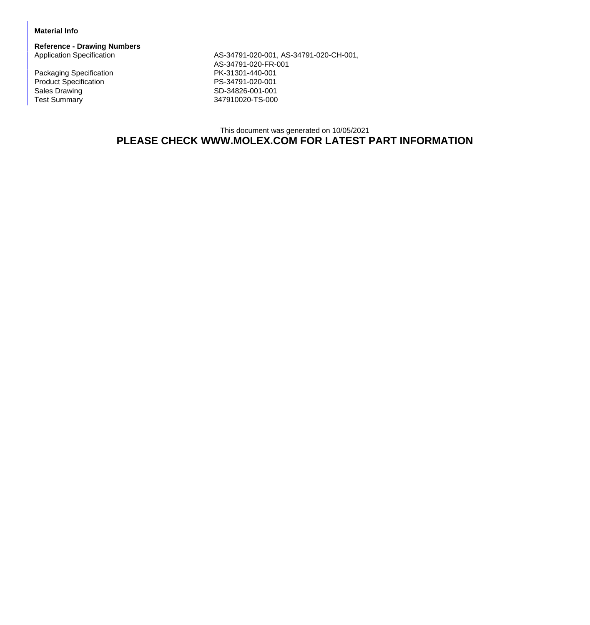## **Material Info**

**Reference - Drawing Numbers**

Packaging Specification **PK-31301-440-001** Product Specification<br>
Sales Drawing<br>
Sales Drawing<br>
PS-34826-001-001 Sales Drawing Sales Drawing SD-34826-001-001<br>Test Summary SD-34826-001-001

AS-34791-020-001, AS-34791-020-CH-001, AS-34791-020-FR-001 347910020-TS-000

## This document was generated on 10/05/2021 **PLEASE CHECK WWW.MOLEX.COM FOR LATEST PART INFORMATION**